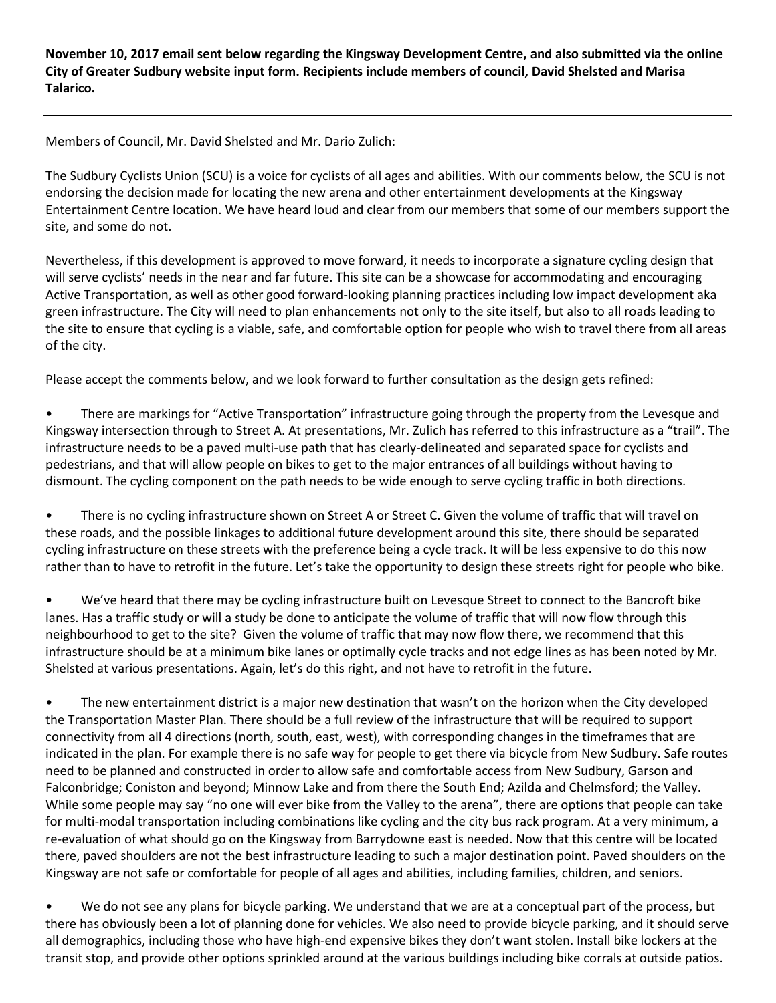**November 10, 2017 email sent below regarding the Kingsway Development Centre, and also submitted via the online City of Greater Sudbury website input form. Recipients include members of council, David Shelsted and Marisa Talarico.**

Members of Council, Mr. David Shelsted and Mr. Dario Zulich:

The Sudbury Cyclists Union (SCU) is a voice for cyclists of all ages and abilities. With our comments below, the SCU is not endorsing the decision made for locating the new arena and other entertainment developments at the Kingsway Entertainment Centre location. We have heard loud and clear from our members that some of our members support the site, and some do not.

Nevertheless, if this development is approved to move forward, it needs to incorporate a signature cycling design that will serve cyclists' needs in the near and far future. This site can be a showcase for accommodating and encouraging Active Transportation, as well as other good forward-looking planning practices including low impact development aka green infrastructure. The City will need to plan enhancements not only to the site itself, but also to all roads leading to the site to ensure that cycling is a viable, safe, and comfortable option for people who wish to travel there from all areas of the city.

Please accept the comments below, and we look forward to further consultation as the design gets refined:

• There are markings for "Active Transportation" infrastructure going through the property from the Levesque and Kingsway intersection through to Street A. At presentations, Mr. Zulich has referred to this infrastructure as a "trail". The infrastructure needs to be a paved multi-use path that has clearly-delineated and separated space for cyclists and pedestrians, and that will allow people on bikes to get to the major entrances of all buildings without having to dismount. The cycling component on the path needs to be wide enough to serve cycling traffic in both directions.

• There is no cycling infrastructure shown on Street A or Street C. Given the volume of traffic that will travel on these roads, and the possible linkages to additional future development around this site, there should be separated cycling infrastructure on these streets with the preference being a cycle track. It will be less expensive to do this now rather than to have to retrofit in the future. Let's take the opportunity to design these streets right for people who bike.

• We've heard that there may be cycling infrastructure built on Levesque Street to connect to the Bancroft bike lanes. Has a traffic study or will a study be done to anticipate the volume of traffic that will now flow through this neighbourhood to get to the site? Given the volume of traffic that may now flow there, we recommend that this infrastructure should be at a minimum bike lanes or optimally cycle tracks and not edge lines as has been noted by Mr. Shelsted at various presentations. Again, let's do this right, and not have to retrofit in the future.

• The new entertainment district is a major new destination that wasn't on the horizon when the City developed the Transportation Master Plan. There should be a full review of the infrastructure that will be required to support connectivity from all 4 directions (north, south, east, west), with corresponding changes in the timeframes that are indicated in the plan. For example there is no safe way for people to get there via bicycle from New Sudbury. Safe routes need to be planned and constructed in order to allow safe and comfortable access from New Sudbury, Garson and Falconbridge; Coniston and beyond; Minnow Lake and from there the South End; Azilda and Chelmsford; the Valley. While some people may say "no one will ever bike from the Valley to the arena", there are options that people can take for multi-modal transportation including combinations like cycling and the city bus rack program. At a very minimum, a re-evaluation of what should go on the Kingsway from Barrydowne east is needed. Now that this centre will be located there, paved shoulders are not the best infrastructure leading to such a major destination point. Paved shoulders on the Kingsway are not safe or comfortable for people of all ages and abilities, including families, children, and seniors.

• We do not see any plans for bicycle parking. We understand that we are at a conceptual part of the process, but there has obviously been a lot of planning done for vehicles. We also need to provide bicycle parking, and it should serve all demographics, including those who have high-end expensive bikes they don't want stolen. Install bike lockers at the transit stop, and provide other options sprinkled around at the various buildings including bike corrals at outside patios.